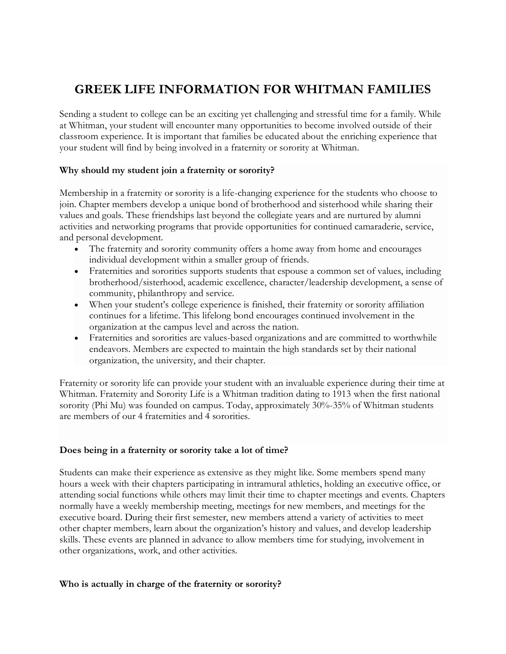# **GREEK LIFE INFORMATION FOR WHITMAN FAMILIES**

Sending a student to college can be an exciting yet challenging and stressful time for a family. While at Whitman, your student will encounter many opportunities to become involved outside of their classroom experience. It is important that families be educated about the enriching experience that your student will find by being involved in a fraternity or sorority at Whitman.

# **Why should my student join a fraternity or sorority?**

Membership in a fraternity or sorority is a life-changing experience for the students who choose to join. Chapter members develop a unique bond of brotherhood and sisterhood while sharing their values and goals. These friendships last beyond the collegiate years and are nurtured by alumni activities and networking programs that provide opportunities for continued camaraderie, service, and personal development.

- The fraternity and sorority community offers a home away from home and encourages individual development within a smaller group of friends.
- Fraternities and sororities supports students that espouse a common set of values, including brotherhood/sisterhood, academic excellence, character/leadership development, a sense of community, philanthropy and service.
- When your student's college experience is finished, their fraternity or sorority affiliation continues for a lifetime. This lifelong bond encourages continued involvement in the organization at the campus level and across the nation.
- Fraternities and sororities are values-based organizations and are committed to worthwhile endeavors. Members are expected to maintain the high standards set by their national organization, the university, and their chapter.

Fraternity or sorority life can provide your student with an invaluable experience during their time at Whitman. Fraternity and Sorority Life is a Whitman tradition dating to 1913 when the first national sorority (Phi Mu) was founded on campus. Today, approximately 30%-35% of Whitman students are members of our 4 fraternities and 4 sororities.

# **Does being in a fraternity or sorority take a lot of time?**

Students can make their experience as extensive as they might like. Some members spend many hours a week with their chapters participating in intramural athletics, holding an executive office, or attending social functions while others may limit their time to chapter meetings and events. Chapters normally have a weekly membership meeting, meetings for new members, and meetings for the executive board. During their first semester, new members attend a variety of activities to meet other chapter members, learn about the organization's history and values, and develop leadership skills. These events are planned in advance to allow members time for studying, involvement in other organizations, work, and other activities.

#### **Who is actually in charge of the fraternity or sorority?**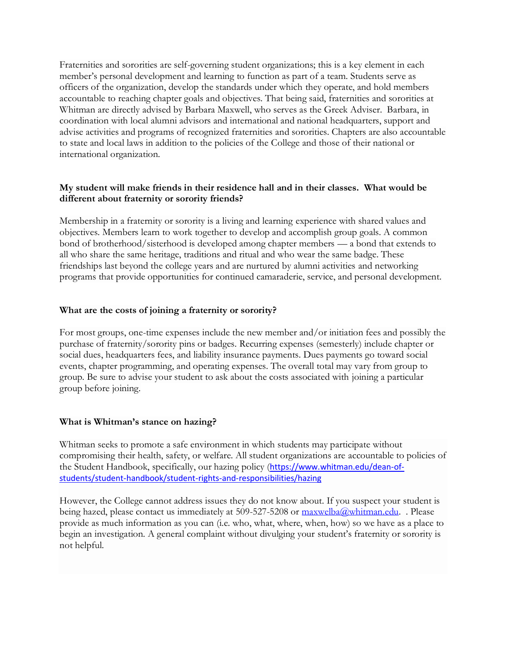Fraternities and sororities are self-governing student organizations; this is a key element in each member's personal development and learning to function as part of a team. Students serve as officers of the organization, develop the standards under which they operate, and hold members accountable to reaching chapter goals and objectives. That being said, fraternities and sororities at Whitman are directly advised by Barbara Maxwell, who serves as the Greek Adviser. Barbara, in coordination with local alumni advisors and international and national headquarters, support and advise activities and programs of recognized fraternities and sororities. Chapters are also accountable to state and local laws in addition to the policies of the College and those of their national or international organization.

# **My student will make friends in their residence hall and in their classes. What would be different about fraternity or sorority friends?**

Membership in a fraternity or sorority is a living and learning experience with shared values and objectives. Members learn to work together to develop and accomplish group goals. A common bond of brotherhood/sisterhood is developed among chapter members — a bond that extends to all who share the same heritage, traditions and ritual and who wear the same badge. These friendships last beyond the college years and are nurtured by alumni activities and networking programs that provide opportunities for continued camaraderie, service, and personal development.

#### **What are the costs of joining a fraternity or sorority?**

For most groups, one-time expenses include the new member and/or initiation fees and possibly the purchase of fraternity/sorority pins or badges. Recurring expenses (semesterly) include chapter or social dues, headquarters fees, and liability insurance payments. Dues payments go toward social events, chapter programming, and operating expenses. The overall total may vary from group to group. Be sure to advise your student to ask about the costs associated with joining a particular group before joining.

# **What is Whitman's stance on hazing?**

Whitman seeks to promote a safe environment in which students may participate without compromising their health, safety, or welfare. All student organizations are accountable to policies of the Student Handbook, specifically, our hazing policy ([https://www.whitman.edu/dean-of](https://www.whitman.edu/dean-of-students/student-handbook/student-rights-and-responsibilities/hazing)[students/student-handbook/student-rights-and-responsibilities/hazing](https://www.whitman.edu/dean-of-students/student-handbook/student-rights-and-responsibilities/hazing)

However, the College cannot address issues they do not know about. If you suspect your student is being hazed, please contact us immediately at 509-527-5208 or [maxwelba@whitman.edu.](mailto:maxwelba@whitman.edu) . Please provide as much information as you can (i.e. who, what, where, when, how) so we have as a place to begin an investigation. A general complaint without divulging your student's fraternity or sorority is not helpful.